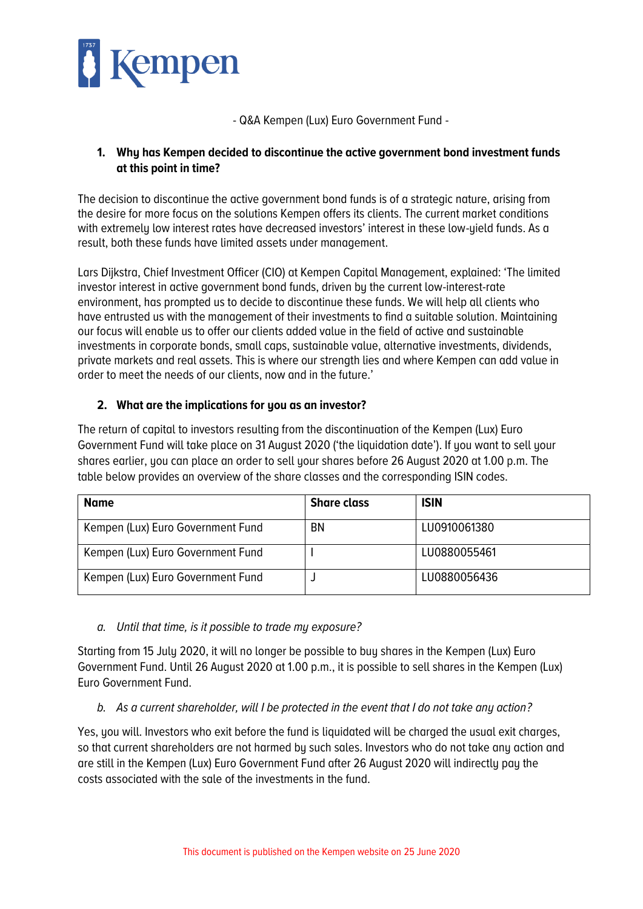

- Q&A Kempen (Lux) Euro Government Fund -

## **1. Why has Kempen decided to discontinue the active government bond investment funds at this point in time?**

The decision to discontinue the active government bond funds is of a strategic nature, arising from the desire for more focus on the solutions Kempen offers its clients. The current market conditions with extremely low interest rates have decreased investors' interest in these low-yield funds. As a result, both these funds have limited assets under management.

Lars Dijkstra, Chief Investment Officer (CIO) at Kempen Capital Management, explained: 'The limited investor interest in active government bond funds, driven by the current low-interest-rate environment, has prompted us to decide to discontinue these funds. We will help all clients who have entrusted us with the management of their investments to find a suitable solution. Maintaining our focus will enable us to offer our clients added value in the field of active and sustainable investments in corporate bonds, small caps, sustainable value, alternative investments, dividends, private markets and real assets. This is where our strength lies and where Kempen can add value in order to meet the needs of our clients, now and in the future.'

## **2. What are the implications for you as an investor?**

The return of capital to investors resulting from the discontinuation of the Kempen (Lux) Euro Government Fund will take place on 31 August 2020 ('the liquidation date'). If you want to sell your shares earlier, you can place an order to sell your shares before 26 August 2020 at 1.00 p.m. The table below provides an overview of the share classes and the corresponding ISIN codes.

| <b>Name</b>                       | <b>Share class</b> | <b>ISIN</b>  |
|-----------------------------------|--------------------|--------------|
| Kempen (Lux) Euro Government Fund | <b>BN</b>          | LU0910061380 |
| Kempen (Lux) Euro Government Fund |                    | LU0880055461 |
| Kempen (Lux) Euro Government Fund |                    | LU0880056436 |

*a. Until that time, is it possible to trade my exposure?*

Starting from 15 July 2020, it will no longer be possible to buy shares in the Kempen (Lux) Euro Government Fund. Until 26 August 2020 at 1.00 p.m., it is possible to sell shares in the Kempen (Lux) Euro Government Fund.

*b. As a current shareholder, will I be protected in the event that I do not take any action?*

Yes, you will. Investors who exit before the fund is liquidated will be charged the usual exit charges, so that current shareholders are not harmed by such sales. Investors who do not take any action and are still in the Kempen (Lux) Euro Government Fund after 26 August 2020 will indirectly pay the costs associated with the sale of the investments in the fund.